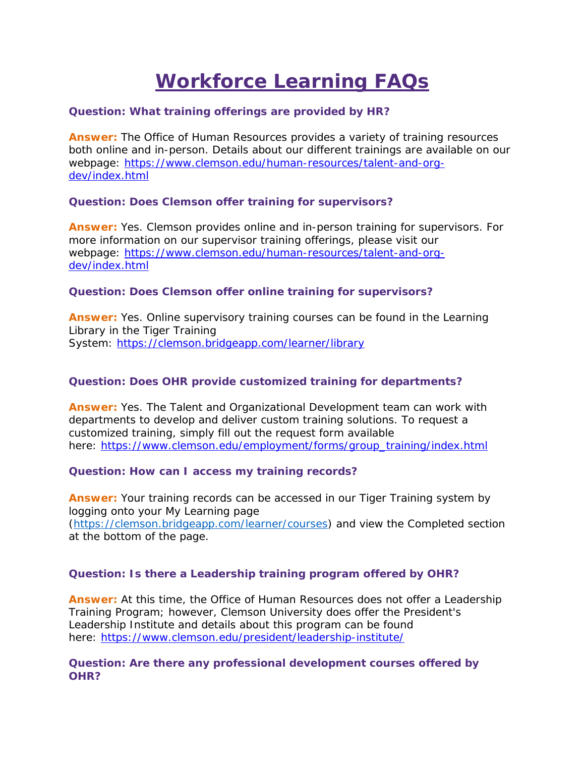# **Workforce Learning FAQs**

# **Question: What training offerings are provided by HR?**

**Answer:** The Office of Human Resources provides a variety of training resources both online and in-person. Details about our different trainings are available on our webpage: [https://www.clemson.edu/human-resources/talent-and-org](https://www.clemson.edu/human-resources/talent-and-org-dev/index.html)[dev/index.html](https://www.clemson.edu/human-resources/talent-and-org-dev/index.html)

# **Question: Does Clemson offer training for supervisors?**

**Answer:** Yes. Clemson provides online and in-person training for supervisors. For more information on our supervisor training offerings, please visit our webpage: [https://www.clemson.edu/human-resources/talent-and-org](https://www.clemson.edu/human-resources/talent-and-org-dev/index.html)[dev/index.html](https://www.clemson.edu/human-resources/talent-and-org-dev/index.html)

## **Question: Does Clemson offer online training for supervisors?**

**Answer:** Yes. Online supervisory training courses can be found in the Learning Library in the Tiger Training System: <https://clemson.bridgeapp.com/learner/library>

# **Question: Does OHR provide customized training for departments?**

**Answer:** Yes. The Talent and Organizational Development team can work with departments to develop and deliver custom training solutions. To request a customized training, simply fill out the request form available here: [https://www.clemson.edu/employment/forms/group\\_training/index.html](https://www.clemson.edu/employment/forms/group_training/index.html)

**Question: How can I access my training records?**

**Answer:** Your training records can be accessed in our Tiger Training system by logging onto your My Learning page [\(https://clemson.bridgeapp.com/learner/courses\)](https://clemson.bridgeapp.com/learner/courses) and view the Completed section at the bottom of the page.

# **Question: Is there a Leadership training program offered by OHR?**

**Answer:** At this time, the Office of Human Resources does not offer a Leadership Training Program; however, Clemson University does offer the President's Leadership Institute and details about this program can be found here: <https://www.clemson.edu/president/leadership-institute/>

# **Question: Are there any professional development courses offered by OHR?**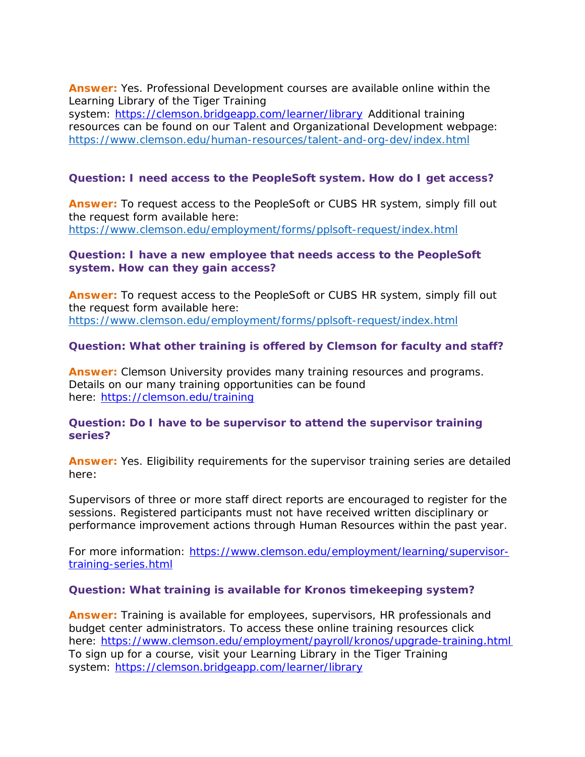**Answer:** Yes. Professional Development courses are available online within the Learning Library of the Tiger Training

system: <https://clemson.bridgeapp.com/learner/library> Additional training resources can be found on our Talent and Organizational Development webpage: <https://www.clemson.edu/human-resources/talent-and-org-dev/index.html>

# **Question: I need access to the PeopleSoft system. How do I get access?**

**Answer:** To request access to the PeopleSoft or CUBS HR system, simply fill out the request form available here: <https://www.clemson.edu/employment/forms/pplsoft-request/index.html>

# **Question: I have a new employee that needs access to the PeopleSoft system. How can they gain access?**

**Answer:** To request access to the PeopleSoft or CUBS HR system, simply fill out the request form available here: <https://www.clemson.edu/employment/forms/pplsoft-request/index.html>

# **Question: What other training is offered by Clemson for faculty and staff?**

**Answer:** Clemson University provides many training resources and programs. Details on our many training opportunities can be found here: <https://clemson.edu/training>

# **Question: Do I have to be supervisor to attend the supervisor training series?**

**Answer:** Yes. Eligibility requirements for the supervisor training series are detailed here: 

Supervisors of three or more staff direct reports are encouraged to register for the sessions. Registered participants must not have received written disciplinary or performance improvement actions through Human Resources within the past year.

For more information: [https://www.clemson.edu/employment/learning/supervisor](https://www.clemson.edu/employment/learning/supervisor-training-series.html)[training-series.html](https://www.clemson.edu/employment/learning/supervisor-training-series.html)

# **Question: What training is available for Kronos timekeeping system?**

**Answer:** Training is available for employees, supervisors, HR professionals and budget center administrators. To access these online training resources click here: [https://www.clemson.edu/employment/payroll/kronos/upgrade-](https://www.clemson.edu/employment/payroll/kronos/upgrade-training.html%E2%80%AF)training.html To sign up for a course, visit your Learning Library in the Tiger Training system: <https://clemson.bridgeapp.com/learner/library>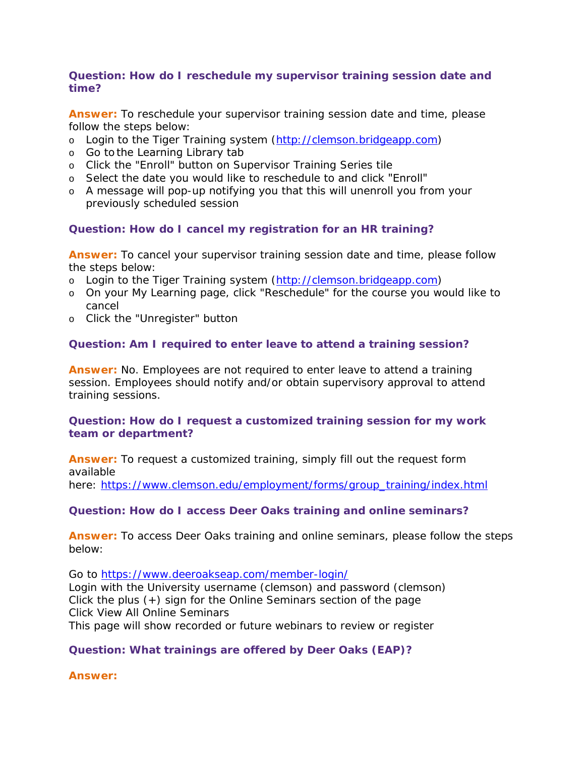# **Question: How do I reschedule my supervisor training session date and time?**

**Answer:** To reschedule your supervisor training session date and time, please follow the steps below:

- o Login to the Tiger Training system [\(http://clemson.bridgeapp.com\)](http://clemson.bridgeapp.com/)
- o Go to the Learning Library tab
- o Click the "Enroll" button on Supervisor Training Series tile
- o Select the date you would like to reschedule to and click "Enroll"
- o A message will pop-up notifying you that this will unenroll you from your previously scheduled session

# **Question: How do I cancel my registration for an HR training?**

**Answer:** To cancel your supervisor training session date and time, please follow the steps below:

- o Login to the Tiger Training system [\(http://clemson.bridgeapp.com\)](http://clemson.bridgeapp.com/)
- o On your My Learning page, click "Reschedule" for the course you would like to cancel
- o Click the "Unregister" button

# **Question: Am I required to enter leave to attend a training session?**

**Answer:** No. Employees are not required to enter leave to attend a training session. Employees should notify and/or obtain supervisory approval to attend training sessions.

# **Question: How do I request a customized training session for my work team or department?**

**Answer:** To request a customized training, simply fill out the request form available here: [https://www.clemson.edu/employment/forms/group\\_training/index.html](https://www.clemson.edu/employment/forms/group_training/index.html)

**Question: How do I access Deer Oaks training and online seminars?**

**Answer:** To access Deer Oaks training and online seminars, please follow the steps below:

Go to <https://www.deeroakseap.com/member-login/> Login with the University username (clemson) and password (clemson) Click the plus (+) sign for the Online Seminars section of the page Click View All Online Seminars

This page will show recorded or future webinars to review or register

# **Question: What trainings are offered by Deer Oaks (EAP)?**

**Answer:**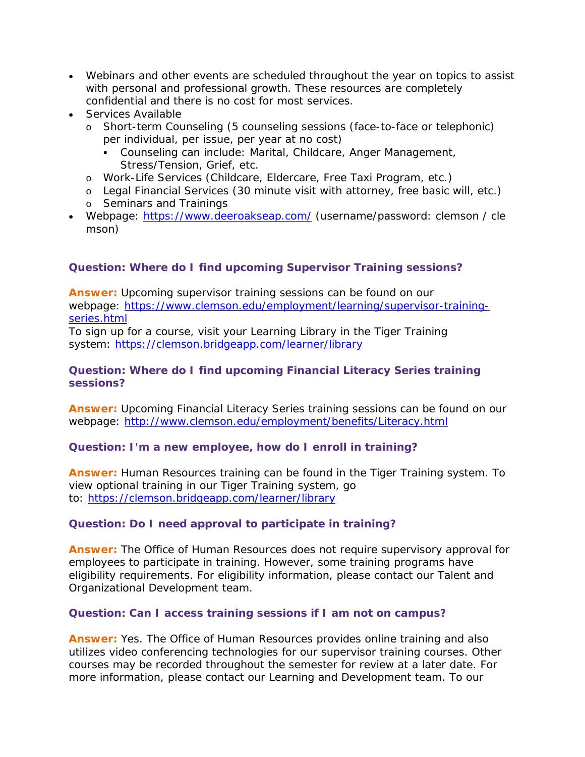- Webinars and other events are scheduled throughout the year on topics to assist with personal and professional growth. These resources are completely confidential and there is no cost for most services.
- Services Available
	- o Short-term Counseling (5 counseling sessions (face-to-face or telephonic) per individual, per issue, per year at no cost)
		- Counseling can include: Marital, Childcare, Anger Management, Stress/Tension, Grief, etc.
	- o Work-Life Services (Childcare, Eldercare, Free Taxi Program, etc.)
	- o Legal Financial Services (30 minute visit with attorney, free basic will, etc.)
	- o Seminars and Trainings
- Webpage: <https://www.deeroakseap.com/> (username/password: clemson / cle mson)

# **Question: Where do I find upcoming Supervisor Training sessions?**

**Answer:** Upcoming supervisor training sessions can be found on our webpage: [https://www.clemson.edu/employment/learning/supervisor-training](https://www.clemson.edu/employment/learning/supervisor-training-series.html)[series.html](https://www.clemson.edu/employment/learning/supervisor-training-series.html)

To sign up for a course, visit your Learning Library in the Tiger Training system: <https://clemson.bridgeapp.com/learner/library>

# **Question: Where do I find upcoming Financial Literacy Series training sessions?**

**Answer:** Upcoming Financial Literacy Series training sessions can be found on our webpage: <http://www.clemson.edu/employment/benefits/Literacy.html>

# **Question: I'm a new employee, how do I enroll in training?**

**Answer:** Human Resources training can be found in the Tiger Training system. To view optional training in our Tiger Training system, go to: <https://clemson.bridgeapp.com/learner/library>  

# **Question: Do I need approval to participate in training?**

**Answer:** The Office of Human Resources does not require supervisory approval for employees to participate in training. However, some training programs have eligibility requirements. For eligibility information, please contact our Talent and Organizational Development team.

# **Question: Can I access training sessions if I am not on campus?**

**Answer:** Yes. The Office of Human Resources provides online training and also utilizes video conferencing technologies for our supervisor training courses. Other courses may be recorded throughout the semester for review at a later date. For more information, please contact our Learning and Development team. To our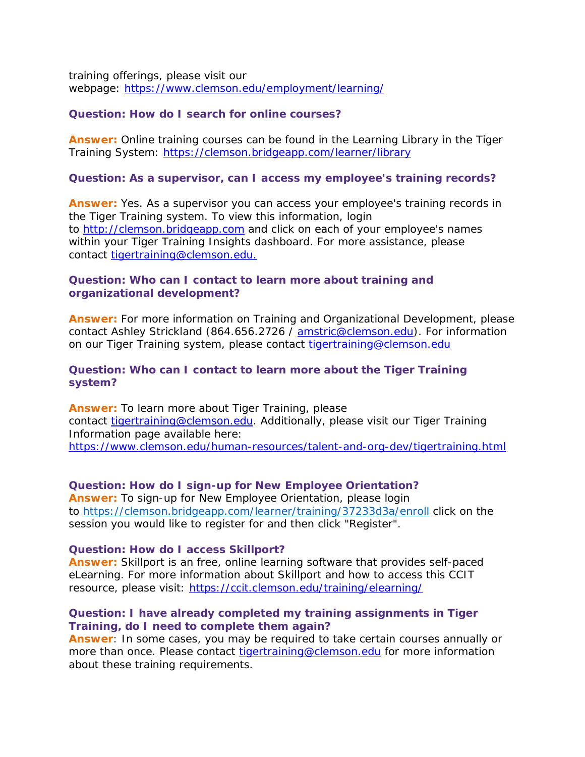training offerings, please visit our webpage: <https://www.clemson.edu/employment/learning/>

#### **Question: How do I search for online courses?**

**Answer:** Online training courses can be found in the Learning Library in the Tiger Training System: <https://clemson.bridgeapp.com/learner/library>  

#### **Question: As a supervisor, can I access my employee's training records?**

**Answer:** Yes. As a supervisor you can access your employee's training records in the Tiger Training system. To view this information, login to [http://clemson.bridgeapp.com](http://clemson.bridgeapp.com/) and click on each of your employee's names within your Tiger Training Insights dashboard. For more assistance, please contact [tigertraining@clemson.edu.](mailto:tigertraining@clemson.edu)

## **Question: Who can I contact to learn more about training and organizational development?**

**Answer:** For more information on Training and Organizational Development, please contact Ashley Strickland (864.656.2726 / [amstric@clemson.edu\)](mailto:amstric@clemson.edu). For information on our Tiger Training system, please contact [tigertraining@clemson.edu](mailto:tigertraining@clemson.edu)

## **Question: Who can I contact to learn more about the Tiger Training system?**

**Answer:** To learn more about Tiger Training, please contact [tigertraining@clemson.edu.](mailto:tigertraining@clemson.edu) Additionally, please visit our Tiger Training Information page available here: <https://www.clemson.edu/human-resources/talent-and-org-dev/tigertraining.html>

## **Question: How do I sign-up for New Employee Orientation? Answer:** To sign-up for New Employee Orientation, please login to <https://clemson.bridgeapp.com/learner/training/37233d3a/enroll> click on the session you would like to register for and then click "Register".

#### **Question: How do I access Skillport?**

**Answer:** Skillport is an free, online learning software that provides self-paced eLearning. For more information about Skillport and how to access this CCIT resource, please visit: <https://ccit.clemson.edu/training/elearning/>

## **Question: I have already completed my training assignments in Tiger Training, do I need to complete them again?**

**Answer**: In some cases, you may be required to take certain courses annually or more than once. Please contact [tigertraining@clemson.edu](mailto:tigertraining@clemson.edu) for more information about these training requirements.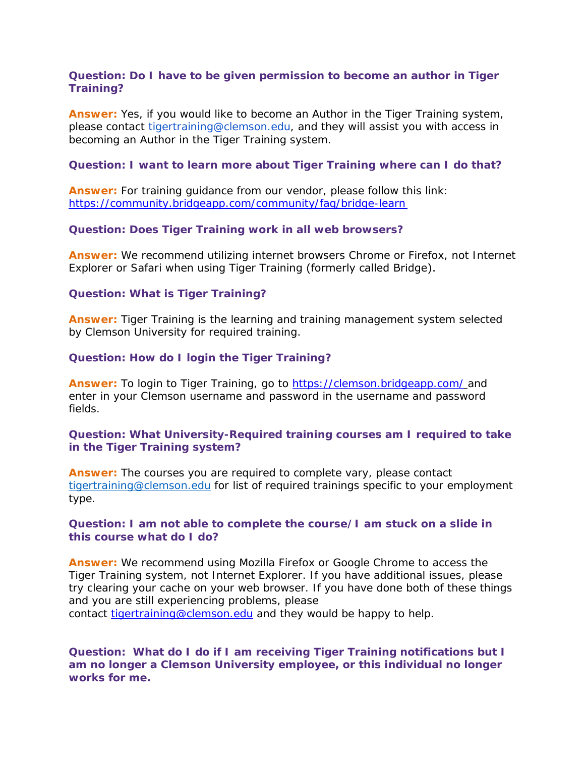# **Question: Do I have to be given permission to become an author in Tiger Training?**

**Answer:** Yes, if you would like to become an Author in the Tiger Training system, please contact tigertraining@clemson.edu, and they will assist you with access in becoming an Author in the Tiger Training system.

## **Question: I want to learn more about Tiger Training where can I do that?**

**Answer:** For training guidance from our vendor, please follow this link: [https://community.bridgeapp.com/community/faq/bridge-](https://community.bridgeapp.com/community/faq/bridge-learn%E2%80%AF)learn 

## **Question: Does Tiger Training work in all web browsers?**

**Answer:** We recommend utilizing internet browsers Chrome or Firefox, not Internet Explorer or Safari when using Tiger Training (formerly called Bridge). 

## **Question: What is Tiger Training?**

**Answer:** Tiger Training is the learning and training management system selected by Clemson University for required training.

# **Question: How do I login the Tiger Training?**

**Answer:** To login to Tiger Training, go to <https://clemson.bridgeapp.com/> and enter in your Clemson username and password in the username and password fields.

# **Question: What University-Required training courses am I required to take in the Tiger Training system?**

**Answer:** The courses you are required to complete vary, please contact [tigertraining@clemson.edu](mailto:tigertraining@clemson.edu) for list of required trainings specific to your employment type.

## **Question: I am not able to complete the course/I am stuck on a slide in this course what do I do?**

**Answer:** We recommend using Mozilla Firefox or Google Chrome to access the Tiger Training system, not Internet Explorer. If you have additional issues, please try clearing your cache on your web browser. If you have done both of these things and you are still experiencing problems, please contact [tigertraining@clemson.edu](mailto:tigertraining@clemson.edu) and they would be happy to help.

**Question: What do I do if I am receiving Tiger Training notifications but I am no longer a Clemson University employee, or this individual no longer works for me.**